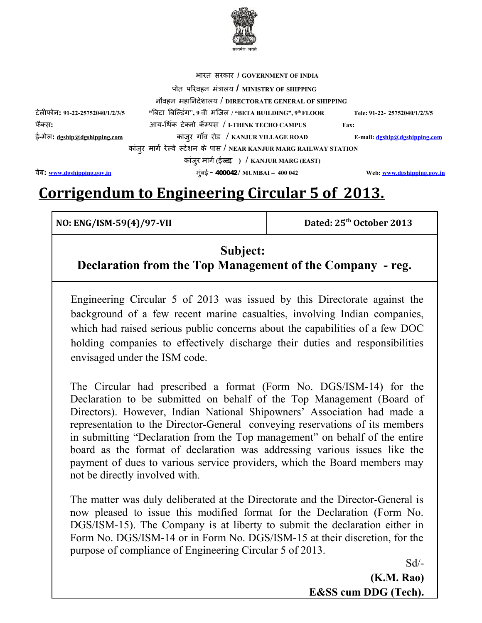

 भारत सरकार / GOVERNME-रत सरकार / GOVERNMENT OF INDIAe-र / **GOVERNMENT OF INDIA**

टलफोन: न**: 91-22-25752040/1/2/3/5 "**बिटा बिल्डिंग", 9 वी मंजिल / "BETA BUILDINGटई-मेल: <u>[dgship@dgshipping.com](mailto:dgship@dgshipping.com)</u>

नवहन मंत्रालय / Mह-निदेशालय / DIRECTORATE GENERAL OF SHIPPING萀璆le爨爨नदेशालय / DIRECTORATE GENERAL OF SHIPPING萀璆le爨爨爨爨-लय **/ DIRECTORATE GENERAL OF SHIPPING** "बिटा बिल्डिंग", 9 वी मंजिल / "BETA BUILDING", 9ª FLOOR Tele: 91-22- 25752040/1/2/3/5 फोन: #क् स**:** आय**-**थिंक टेक्नो कॅम्पस / I-THINK TECHO CAMPUS 'कार / GOVERNMENT OF INDIAe टक् न कार / GOVERNMENT OF INDIAe () पस **/ I-THINK TECHO CAMPUS Fax:** 

कांजुर मार्ग रेल्वे स्टेशन के पास / NEAR KANJUR MARG RAILWAY STATION

पोत परिवहन मंत्रालय **/** MINISTRY OF SHIPPING

",र ग-व र **/ KANJUR VILLAGE ROAD E-mail: [dgship@dgshipping.com](mailto:dgship@dgshipping.com)**

कार / GOVERNMENT OF INDIAe-",र मंत्रालय / M-ग.**(**ईस्टेशन के पास / NEAR KANJUR MA टस्टेशन के पास / NEAR KANJUR MA ट **) / KANJUR MARG (EAST)** व**: [www.dgshipping.gov.in](http://www.dgshipping.gov.in/)** मंत्रालय / M,ई **-** 400 042**/ MUMBAI – 400 042 Web: [www.dgshipping.gov.in](http://www.dgshipping.gov.in/)**

# **Corrigendum to Engineering Circular 5 of 2013.**

**NO: ENG/ISM-59(4)/97-VII Dated: 25th October 2013**

# **Subject:**

**Declaration from the Top Management of the Company - reg.**

Engineering Circular 5 of 2013 was issued by this Directorate against the background of a few recent marine casualties, involving Indian companies, which had raised serious public concerns about the capabilities of a few DOC holding companies to effectively discharge their duties and responsibilities envisaged under the ISM code.

The Circular had prescribed a format (Form No. DGS/ISM-14) for the Declaration to be submitted on behalf of the Top Management (Board of Directors). However, Indian National Shipowners' Association had made a representation to the Director-General conveying reservations of its members in submitting "Declaration from the Top management" on behalf of the entire board as the format of declaration was addressing various issues like the payment of dues to various service providers, which the Board members may not be directly involved with.

The matter was duly deliberated at the Directorate and the Director-General is now pleased to issue this modified format for the Declaration (Form No. DGS/ISM-15). The Company is at liberty to submit the declaration either in Form No. DGS/ISM-14 or in Form No. DGS/ISM-15 at their discretion, for the purpose of compliance of Engineering Circular 5 of 2013.

 $Sd$ <sup>-</sup>

**(K.M. Rao) E&SS cum DDG (Tech).**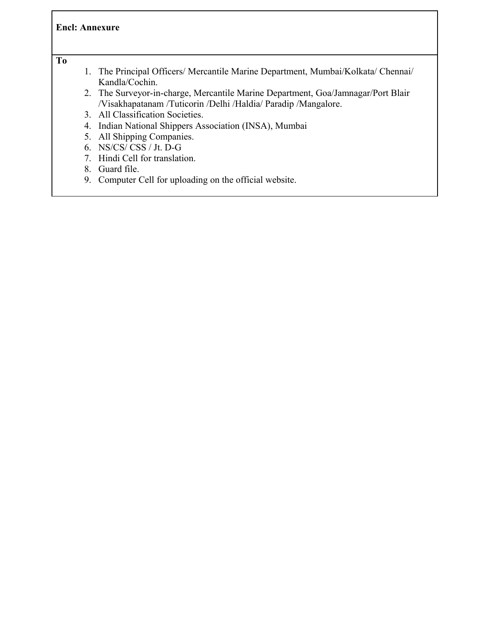#### **Encl: Annexure**

#### **To**

- 1. The Principal Officers/ Mercantile Marine Department, Mumbai/Kolkata/ Chennai/ Kandla/Cochin.
- 2. The Surveyor-in-charge, Mercantile Marine Department, Goa/Jamnagar/Port Blair /Visakhapatanam /Tuticorin /Delhi /Haldia/ Paradip /Mangalore.
- 3. All Classification Societies.
- 4. Indian National Shippers Association (INSA), Mumbai
- 5. All Shipping Companies.
- 6. NS/CS/ CSS / Jt. D-G
- 7. Hindi Cell for translation.
- 8. Guard file.
- 9. Computer Cell for uploading on the official website.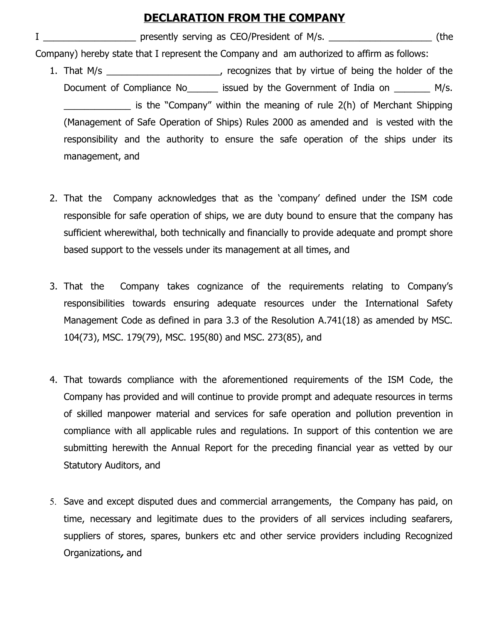## **DECLARATION FROM THE COMPANY**

I \_\_\_\_\_\_\_\_\_\_\_\_\_\_\_\_\_\_\_\_\_\_\_ presently serving as CEO/President of M/s. \_\_\_\_\_\_\_\_\_\_\_\_\_\_\_\_\_\_\_\_\_\_\_\_\_\_\_ (the Company) hereby state that I represent the Company and am authorized to affirm as follows:

- 1. That M/s \_\_\_\_\_\_\_\_\_\_\_\_\_\_\_\_\_\_\_\_\_, recognizes that by virtue of being the holder of the Document of Compliance No dissued by the Government of India on M/s. is the "Company" within the meaning of rule 2(h) of Merchant Shipping (Management of Safe Operation of Ships) Rules 2000 as amended and is vested with the responsibility and the authority to ensure the safe operation of the ships under its management, and
- 2. That the Company acknowledges that as the 'company' defined under the ISM code responsible for safe operation of ships, we are duty bound to ensure that the company has sufficient wherewithal, both technically and financially to provide adequate and prompt shore based support to the vessels under its management at all times, and
- 3. That the Company takes cognizance of the requirements relating to Company's responsibilities towards ensuring adequate resources under the International Safety Management Code as defined in para 3.3 of the Resolution A.741(18) as amended by MSC. 104(73), MSC. 179(79), MSC. 195(80) and MSC. 273(85), and
- 4. That towards compliance with the aforementioned requirements of the ISM Code, the Company has provided and will continue to provide prompt and adequate resources in terms of skilled manpower material and services for safe operation and pollution prevention in compliance with all applicable rules and regulations. In support of this contention we are submitting herewith the Annual Report for the preceding financial year as vetted by our Statutory Auditors, and
- 5. Save and except disputed dues and commercial arrangements, the Company has paid, on time, necessary and legitimate dues to the providers of all services including seafarers, suppliers of stores, spares, bunkers etc and other service providers including Recognized Organizations**,** and